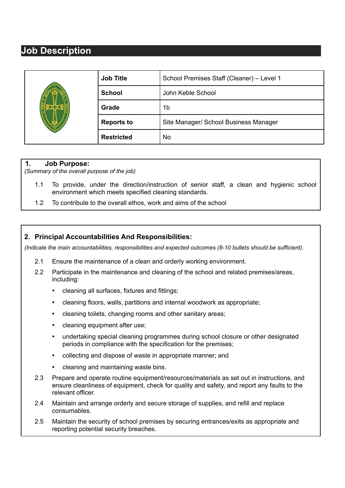## **Job Description**

|  | <b>Job Title</b>  | School Premises Staff (Cleaner) - Level 1 |
|--|-------------------|-------------------------------------------|
|  | <b>School</b>     | John Keble School                         |
|  | Grade             | 1b                                        |
|  | <b>Reports to</b> | Site Manager/ School Business Manager     |
|  | <b>Restricted</b> | No                                        |

## **1. Job Purpose:**

*(Summary of the overall purpose of the job)*

- 1.1 To provide, under the direction/instruction of senior staff, a clean and hygienic school environment which meets specified cleaning standards.
- 1.2 To contribute to the overall ethos, work and aims of the school

## **2. Principal Accountabilities And Responsibilities:**

*(Indicate the main accountabilities, responsibilities and expected outcomes (8-10 bullets should be sufficient).*

- 2.1 Ensure the maintenance of a clean and orderly working environment.
- 2.2 Participate in the maintenance and cleaning of the school and related premises/areas, including:
	- cleaning all surfaces, fixtures and fittings;
	- cleaning floors, walls, partitions and internal woodwork as appropriate;
	- cleaning toilets, changing rooms and other sanitary areas;
	- cleaning equipment after use;
	- undertaking special cleaning programmes during school closure or other designated periods in compliance with the specification for the premises;
	- collecting and dispose of waste in appropriate manner; and
	- cleaning and maintaining waste bins.
- 2.3 Prepare and operate routine equipment/resources/materials as set out in instructions, and ensure cleanliness of equipment, check for quality and safety, and report any faults to the relevant officer.
- 2.4 Maintain and arrange orderly and secure storage of supplies, and refill and replace consumables.
- 2.5 Maintain the security of school premises by securing entrances/exits as appropriate and reporting potential security breaches.